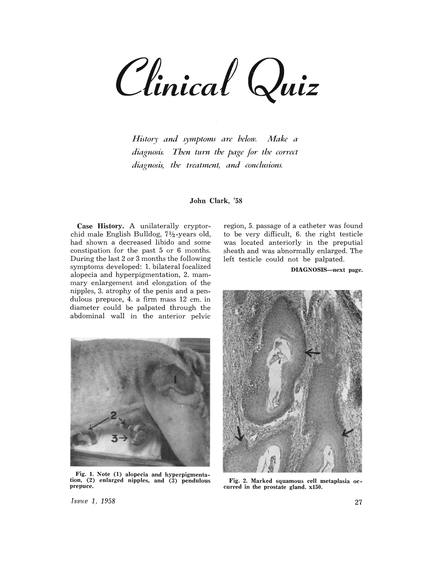Clinical Quiz

*History and symptoms are below. Make a diagnosis. Then tum the page for the correct diagnosis, the treatment, and conclusions.* 

John Clark, '58

Case History, A unilaterally cryptorchid male English Bulldog,  $7\frac{1}{2}$ -years old, had shown a decreased libido and some constipation for the past 5 or 6 months. During the last 2 or 3 months the following symptoms developed: 1. bilateral focalized alopecia and hyperpigmentation, 2. mammary enlargement and elongation of the nipples, 3. atrophy of the penis and a pendulous prepuce, 4. a firm mass 12 cm. in diameter could be palpated through the abdominal wall in the anterior pelvic



Fig. 1. Note (I) alopecia and hyperpigmentation, (2) enlarged nipples, and (3) pendulous prepuce.

region, 5. passage of a catheter was found to be very difficult, 6. the right testicle was located anteriorly in the preputial sheath and was abnormally enlarged. The left testicle could not be palpated.

DIAGNOSIS-next page.



Fig. 2. Marked squamous cell metaplasia oc- curred in the prostate gland. x150.

*Issue* 1, 1958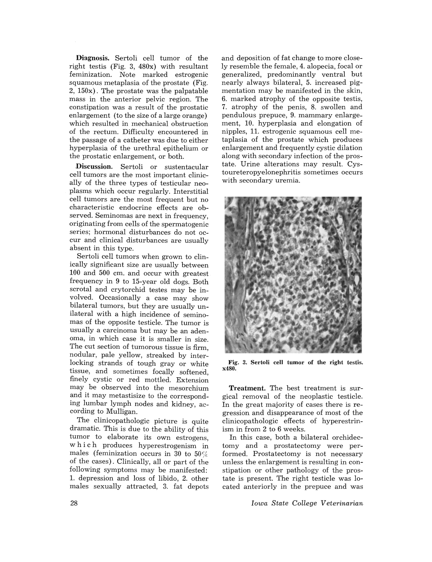Diagnosis. Sertoli cell tumor of the right testis (Fig. 3, 480x) with resultant feminization. Note marked estrogenic squamous metaplasia of the prostate (Fig. 2, 150x). The prostate was the palpatable mass in the anterior pelvic region. The constipation was a result of the prostatic enlargement (to the size of a large orange) which resulted in mechanical obstruction of the rectum. Difficulty encountered in the passage of a catheter was due to either hyperplasia of the urethral epithelium or the prostatic enlargement, or both.

Discussion. Sertoli or sustentacular cell tumors are the most important clinically of the three types of testicular neoplasms which occur regularly. Interstitial cell tumors are the most frequent but no characteristic endocrine effects are observed. Seminomas are next in frequency. originating from cells of the spermatogenic series; hormonal disturbances do not occur and clinical disturbances are usually absent in this type.

Sertoli cell tumors when grown to clinically significant size are usually between 100 and 500 cm. and occur with greatest frequency in 9 to 15-year old dogs. Both scrotal and crytorchid testes may be involved. Occasionally a case may show bilateral tumors, but they are usually unilateral with a high incidence of seminomas of the opposite testicle. The tumor is usually a carcinoma but may be an adenoma, in which case it is smaller in size. The cut section of tumorous tissue is firm nodular, pale yellow, streaked by inter~ locking strands of tough gray or white tissue, and sometimes focally softened, finely cystic or red mottled. Extension may be observed into the mesorchium and it may metastisize to the corresponding lumbar lymph nodes and kidney, according to Mulligan.

The clinicopathologic picture is quite dramatic. This is due to the ability of this tumor to elaborate its own estrogens, w h i c h produces hyperestrogenism in males (feminization occurs in 30 to  $50\%$ of the cases). Clinically, all or part of the following symptoms may be manifested: 1. depression and loss of libido, 2. other males sexually attracted, 3. fat depots

and deposition of fat change to more closely resemble the female, 4. alopecia, focal or generalized, predominantly ventral but nearly always bilateral, 5. increased pigmentation may be manifested in the skin, 6. marked atrophy of the opposite testis, 7. atrophy of the penis, 8. swollen and pendulous prepuce, 9. mammary enlargement, 10. hyperplasia and elongation of nipples, 11. estrogenic squamous cell metaplasia of the prostate which produces enlargement and frequently cystic dilation along with secondary infection of the prostate. Urine alterations may result. Cystoureteropyelonephritis sometimes occurs with secondary uremia.



Fig. 3. Sertoli cell tumor of the right testis. x480.

Treatment. The best treatment is surgical removal of the neoplastic testicle. In the great majority of cases there is regression and disappearance of most of the clinicopathologic effects of hyperestrinism in from 2 to 6 weeks.

In this case, both a bilateral orchidectomy and a prostatectomy were performed. Prostatectomy is not necessary unless the enlargement is resulting in constipation or other pathology of the prostate is present. The right testicle was located anteriorly in the prepuce and was

*Iowa State College Veterinarian*